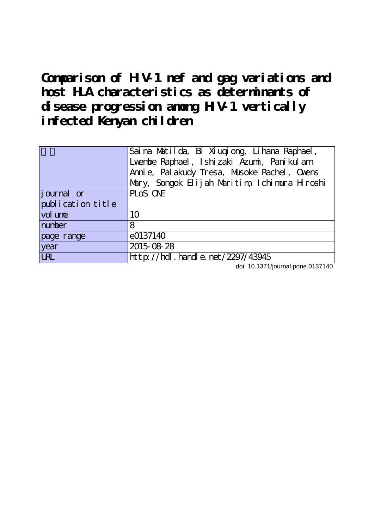**Comparison of HIV-1 nef and gag variations and host HLA characteristics as determinants of disease progression among HIV-1 vertically infected Kenyan children**

|                    | Saina Matilda, Bi Xiuqiong, Lihana Raphael,<br>Lvenbe Raphael, Ishizaki Azumi, Panikulam<br>Anni e, Pal akudy Tresa, Musoke Rachel, Ovens<br>Mary, Songok Elijah Maritim, Ichimura Hiroshi |
|--------------------|--------------------------------------------------------------------------------------------------------------------------------------------------------------------------------------------|
| <i>j</i> ournal or | PLOS ONE                                                                                                                                                                                   |
| publication title  |                                                                                                                                                                                            |
| vol une            | 10                                                                                                                                                                                         |
| number             | 8                                                                                                                                                                                          |
| page range         | e0137140                                                                                                                                                                                   |
| year               | 2015-08-28                                                                                                                                                                                 |
| <b>URL</b>         | http://hdl.handle.net/2297/43945                                                                                                                                                           |

doi: 10.1371/journal.pone.0137140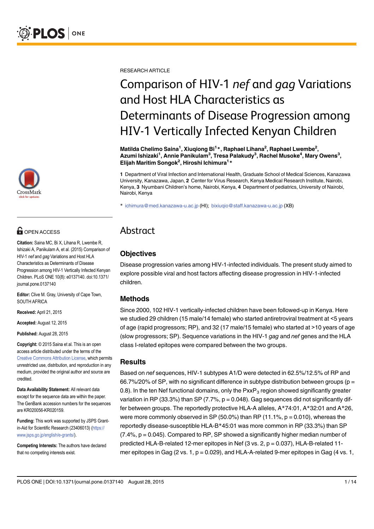

# **G** OPEN ACCESS

Citation: Saina MC, Bi X, Lihana R, Lwembe R, Ishizaki A, Panikulam A, et al. (2015) Comparison of HIV-1 nef and gag Variations and Host HLA Characteristics as Determinants of Disease Progression among HIV-1 Vertically Infected Kenyan Children. PLoS ONE 10(8): e0137140. doi:10.1371/ journal.pone.0137140

Editor: Clive M. Gray, University of Cape Town, SOUTH AFRICA

Received: April 21, 2015

Accepted: August 12, 2015

Published: August 28, 2015

Copyright: © 2015 Saina et al. This is an open access article distributed under the terms of the [Creative Commons Attribution License,](http://creativecommons.org/licenses/by/4.0/) which permits unrestricted use, distribution, and reproduction in any medium, provided the original author and source are credited.

Data Availability Statement: All relevant data except for the sequence data are within the paper. The GenBank accession numbers for the sequences are KR020056-KR020159.

Funding: This work was supported by JSPS Grantin-Aid for Scientific Research (23406013) [\(https://](https://www.jsps.go.jp/english/e-grants/) [www.jsps.go.jp/english/e-grants/\)](https://www.jsps.go.jp/english/e-grants/).

Competing Interests: The authors have declared that no competing interests exist.

RESEARCH ARTICLE

# Comparison of HIV-1 nef and gag Variations and Host HLA Characteristics as Determinants of Disease Progression among HIV-1 Vertically Infected Kenyan Children

Matilda Chelimo Saina<sup>1</sup>, Xiuqiong Bi<sup>1</sup>\*, Raphael Lihana<sup>2</sup>, Raphael Lwembe<sup>2</sup>, Azumi Ishizaki<sup>1</sup>, Annie Panikulam<sup>3</sup>, Tresa Palakudy<sup>3</sup>, Rachel Musoke<sup>4</sup>, Mary Owens<sup>3</sup>, Elijah Maritim Songok<sup>2</sup>, Hiroshi Ichimura<sup>1</sup>\*

1 Department of Viral Infection and International Health, Graduate School of Medical Sciences, Kanazawa University, Kanazawa, Japan, 2 Center for Virus Research, Kenya Medical Research Institute, Nairobi, Kenya, 3 Nyumbani Children's home, Nairobi, Kenya, 4 Department of pediatrics, University of Nairobi, Nairobi, Kenya

\* ichimura@med.kanazawa-u.ac.jp (HI); bixiuqio@staff.kanazawa-u.ac.jp (XB)

# Abstract

## **Objectives**

Disease progression varies among HIV-1-infected individuals. The present study aimed to explore possible viral and host factors affecting disease progression in HIV-1-infected children.

## Methods

Since 2000, 102 HIV-1 vertically-infected children have been followed-up in Kenya. Here we studied 29 children (15 male/14 female) who started antiretroviral treatment at <5 years of age (rapid progressors; RP), and 32 (17 male/15 female) who started at >10 years of age (slow progressors; SP). Sequence variations in the HIV-1 gag and nef genes and the HLA class I-related epitopes were compared between the two groups.

#### **Results**

Based on nef sequences, HIV-1 subtypes A1/D were detected in 62.5%/12.5% of RP and 66.7%/20% of SP, with no significant difference in subtype distribution between groups ( $p =$ 0.8). In the ten Nef functional domains, only the  $PxxP_3$  region showed significantly greater variation in RP (33.3%) than SP (7.7%,  $p = 0.048$ ). Gag sequences did not significantly differ between groups. The reportedly protective HLA-A alleles, A\*74:01, A\*32:01 and A\*26, were more commonly observed in SP (50.0%) than RP (11.1%,  $p = 0.010$ ), whereas the reportedly disease-susceptible HLA-B\*45:01 was more common in RP (33.3%) than SP  $(7.4\%$ ,  $p = 0.045)$ . Compared to RP, SP showed a significantly higher median number of predicted HLA-B-related 12-mer epitopes in Nef (3 vs. 2, p = 0.037), HLA-B-related 11 mer epitopes in Gag (2 vs. 1,  $p = 0.029$ ), and HLA-A-related 9-mer epitopes in Gag (4 vs. 1,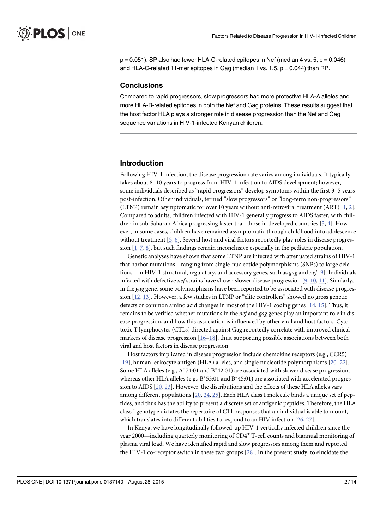$p = 0.051$ . SP also had fewer HLA-C-related epitopes in Nef (median 4 vs. 5,  $p = 0.046$ ) and HLA-C-related 11-mer epitopes in Gag (median 1 vs. 1.5,  $p = 0.044$ ) than RP.

#### **Conclusions**

Compared to rapid progressors, slow progressors had more protective HLA-A alleles and more HLA-B-related epitopes in both the Nef and Gag proteins. These results suggest that the host factor HLA plays a stronger role in disease progression than the Nef and Gag sequence variations in HIV-1-infected Kenyan children.

#### Introduction

Following HIV-1 infection, the disease progression rate varies among individuals. It typically takes about 8–10 years to progress from HIV-1 infection to AIDS development; however, some individuals described as "rapid progressors" develop symptoms within the first 3–5 years post-infection. Other individuals, termed "slow progressors" or "long-term non-progressors" (LTNP) remain asymptomatic for over 10 years without anti-retroviral treatment (ART) [1, 2]. Compared to adults, children infected with HIV-1 generally progress to AIDS faster, with children in sub-Saharan Africa progressing faster than those in developed countries  $[3, 4]$ . However, in some cases, children have remained asymptomatic through childhood into adolescence without treatment [5, 6]. Several host and viral factors reportedly play roles in disease progression  $[1, 7, 8]$ , but such findings remain inconclusive especially in the pediatric population.

Genetic analyses have shown that some LTNP are infected with attenuated strains of HIV-1 that harbor mutations—ranging from single-nucleotide polymorphisms (SNPs) to large deletions—in HIV-1 structural, regulatory, and accessory genes, such as *gag* and *nef* [9]. Individuals infected with defective nef strains have shown slower disease progression [9, 10, 11]. Similarly, in the gag gene, some polymorphisms have been reported to be associated with disease progression  $[12, 13]$ . However, a few studies in LTNP or "elite controllers" showed no gross genetic defects or common amino acid changes in most of the HIV-1 coding genes [14, 15]. Thus, it remains to be verified whether mutations in the nef and gag genes play an important role in disease progression, and how this association is influenced by other viral and host factors. Cytotoxic T lymphocytes (CTLs) directed against Gag reportedly correlate with improved clinical markers of disease progression  $[16–18]$ , thus, supporting possible associations between both viral and host factors in disease progression.

Host factors implicated in disease progression include chemokine receptors (e.g., CCR5) [19], human leukocyte antigen (HLA) alleles, and single nucleotide polymorphisms [20–22]. Some HLA alleles (e.g.,  $A^*74:01$  and  $B^*42:01$ ) are associated with slower disease progression, whereas other HLA alleles (e.g.,  $B*53:01$  and  $B*45:01$ ) are associated with accelerated progression to AIDS [20, 23]. However, the distributions and the effects of these HLA alleles vary among different populations  $[20, 24, 25]$ . Each HLA class I molecule binds a unique set of peptides, and thus has the ability to present a discrete set of antigenic peptides. Therefore, the HLA class I genotype dictates the repertoire of CTL responses that an individual is able to mount, which translates into different abilities to respond to an HIV infection [26, 27].

In Kenya, we have longitudinally followed-up HIV-1 vertically infected children since the year 2000—including quarterly monitoring of CD4<sup>+</sup> T-cell counts and biannual monitoring of plasma viral load. We have identified rapid and slow progressors among them and reported the HIV-1 co-receptor switch in these two groups [28]. In the present study, to elucidate the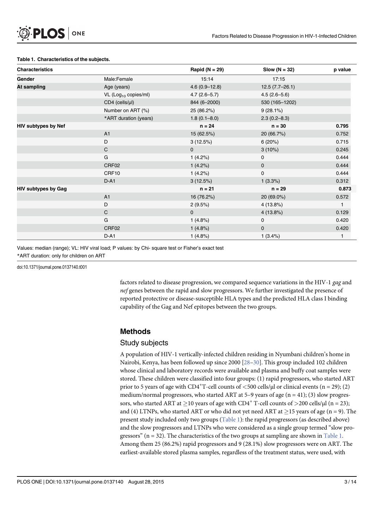#### Table 1. Characteristics of the subjects.

| <b>Characteristics</b>     |                                  | Rapid ( $N = 29$ ) | Slow $(N = 32)$  | p value      |
|----------------------------|----------------------------------|--------------------|------------------|--------------|
| Gender                     | Male:Female                      | 15:14              | 17:15            |              |
| At sampling                | Age (years)                      | $4.6(0.9 - 12.8)$  | $12.5(7.7-26.1)$ |              |
|                            | VL (Log <sub>10</sub> copies/ml) | $4.7(2.6 - 5.7)$   | $4.5(2.6 - 5.6)$ |              |
|                            | CD4 (cells/µl)                   | 844 (6-2000)       | 530 (165-1202)   |              |
|                            | Number on ART (%)                | 25 (86.2%)         | 9(28.1%)         |              |
|                            | *ART duration (years)            | $1.8(0.1 - 8.0)$   | $2.3(0.2 - 8.3)$ |              |
| <b>HIV subtypes by Nef</b> |                                  | $n = 24$           | $n = 30$         | 0.795        |
|                            | A1                               | 15 (62.5%)         | 20 (66.7%)       | 0.752        |
|                            | D                                | 3(12.5%)           | 6(20%)           | 0.715        |
|                            | $\mathsf{C}$                     | $\mathbf 0$        | $3(10\%)$        | 0.245        |
|                            | G                                | $1(4.2\%)$         | $\mathbf 0$      | 0.444        |
|                            | CRF02                            | 1(4.2%)            | $\mathbf 0$      | 0.444        |
|                            | CRF10                            | $1(4.2\%)$         | $\mathbf 0$      | 0.444        |
|                            | $D-A1$                           | 3(12.5%)           | 1(3.3%)          | 0.312        |
| <b>HIV subtypes by Gag</b> |                                  | $n = 21$           | $n = 29$         | 0.873        |
|                            | A1                               | 16 (76.2%)         | 20 (69.0%)       | 0.572        |
|                            | D                                | 2(9.5%)            | 4(13.8%)         | $\mathbf{1}$ |
|                            | $\mathsf{C}$                     | 0                  | 4(13.8%)         | 0.129        |
|                            | G                                | 1(4.8%)            | $\mathbf 0$      | 0.420        |
|                            | CRF02                            | 1(4.8%)            | $\mathbf 0$      | 0.420        |
|                            | $D-A1$                           | 1(4.8%)            | 1(3.4%)          |              |

Values: median (range); VL: HIV viral load; P values: by Chi- square test or Fisher's exact test \*ART duration: only for children on ART

doi:10.1371/journal.pone.0137140.t001

factors related to disease progression, we compared sequence variations in the HIV-1 gag and nef genes between the rapid and slow progressors. We further investigated the presence of reported protective or disease-susceptible HLA types and the predicted HLA class I binding capability of the Gag and Nef epitopes between the two groups.

#### Methods

#### Study subjects

A population of HIV-1 vertically-infected children residing in Nyumbani children's home in Nairobi, Kenya, has been followed up since 2000 [28–30]. This group included 102 children whose clinical and laboratory records were available and plasma and buffy coat samples were stored. These children were classified into four groups: (1) rapid progressors, who started ART prior to 5 years of age with CD4<sup>+</sup>T-cell counts of  $<$  500 cells/ $\mu$ l or clinical events (n = 29); (2) medium/normal progressors, who started ART at 5–9 years of age  $(n = 41)$ ; (3) slow progressors, who started ART at  $\geq$  10 years of age with CD4<sup>+</sup> T-cell counts of  $>$ 200 cells/µl (n = 23); and (4) LTNPs, who started ART or who did not yet need ART at  $\geq$ 15 years of age (n = 9). The present study included only two groups (Table 1): the rapid progressors (as described above) and the slow progressors and LTNPs who were considered as a single group termed "slow progressors" (n = 32). The characteristics of the two groups at sampling are shown in  $Table 1$ . Among them 25 (86.2%) rapid progressors and 9 (28.1%) slow progressors were on ART. The earliest-available stored plasma samples, regardless of the treatment status, were used, with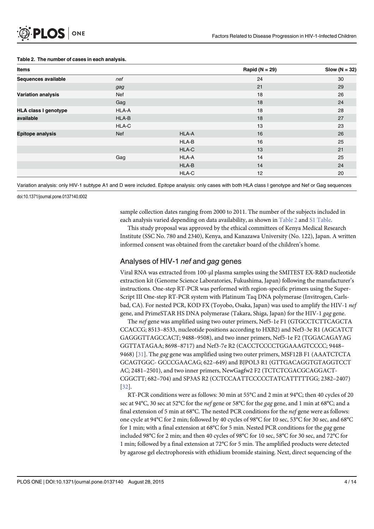#### Table 2. The number of cases in each analysis.

| <b>Items</b>                |            |       | Rapid ( $N = 29$ ) | Slow $(N = 32)$ |
|-----------------------------|------------|-------|--------------------|-----------------|
| Sequences available         | nef        |       | 24                 | 30              |
|                             | gag        |       | 21                 | 29              |
| <b>Variation analysis</b>   | Nef        |       | 18                 | 26              |
|                             | Gag        |       | 18                 | 24              |
| <b>HLA class I genotype</b> | HLA-A      |       | 18                 | 28              |
| available                   | HLA-B      |       | 18                 | 27              |
|                             | HLA-C      |       | 13                 | 23              |
| <b>Epitope analysis</b>     | <b>Nef</b> | HLA-A | 16                 | 26              |
|                             |            | HLA-B | 16                 | 25              |
|                             |            | HLA-C | 13                 | 21              |
|                             | Gag        | HLA-A | 14                 | 25              |
|                             |            | HLA-B | 14                 | 24              |
|                             |            | HLA-C | 12                 | 20              |

Variation analysis: only HIV-1 subtype A1 and D were included. Epitope analysis: only cases with both HLA class I genotype and Nef or Gag sequences

doi:10.1371/journal.pone.0137140.t002

sample collection dates ranging from 2000 to 2011. The number of the subjects included in each analysis varied depending on data availability, as shown in Table 2 and S1 Table.

This study proposal was approved by the ethical committees of Kenya Medical Research Institute (SSC No. 780 and 2340), Kenya, and Kanazawa University (No. 122), Japan. A written informed consent was obtained from the caretaker board of the children's home.

#### Analyses of HIV-1 nef and gag genes

Viral RNA was extracted from 100-μl plasma samples using the SMITEST EX-R&D nucleotide extraction kit (Genome Science Laboratories, Fukushima, Japan) following the manufacturer's instructions. One-step RT-PCR was performed with region-specific primers using the Super-Script III One-step RT-PCR system with Platinum Taq DNA polymerase (Invitrogen, Carlsbad, CA). For nested PCR, KOD FX (Toyobo, Osaka, Japan) was used to amplify the HIV-1 nef gene, and PrimeSTAR HS DNA polymerase (Takara, Shiga, Japan) for the HIV-1 gag gene.

The nef gene was amplified using two outer primers, Nef5-1e F1 (GTGCCTCTTCAGCTA CCACCG; 8513–8533, nucleotide positions according to HXB2) and Nef3-3e R1 (AGCATCT GAGGGTTAGCCACT; 9488–9508), and two inner primers, Nef5-1e F2 (TGGACAGAYAG GGTTATAGAA; 8698–8717) and Nef3-7e R2 (CACCTCCCCTGGAAAGTCCCC; 9448– 9468) [31]. The gag gene was amplified using two outer primers, MSF12B F1 (AAATCTCTA GCAGTGGC- GCCCGAACAG; 622–649) and BJPOL3 R1 (GTTGACAGGTGTAGGTCCT AC; 2481–2501), and two inner primers, NewGagfw2 F2 (TCTCTCGACGCAGGACT-CGGCTT; 682–704) and SP3AS R2 (CCTCCAATTCCCCCTATCATTTTTGG; 2382–2407) [32].

RT-PCR conditions were as follows: 30 min at 55°C and 2 min at 94°C; then 40 cycles of 20 sec at 94°C, 30 sec at 52°C for the nef gene or 58°C for the gag gene, and 1 min at 68°C; and a final extension of 5 min at 68°C. The nested PCR conditions for the nef gene were as follows: one cycle at 94°C for 2 min; followed by 40 cycles of 98°C for 10 sec, 53°C for 30 sec, and 68°C for 1 min; with a final extension at  $68^{\circ}$ C for 5 min. Nested PCR conditions for the *gag* gene included 98°C for 2 min; and then 40 cycles of 98°C for 10 sec, 58°C for 30 sec, and 72°C for 1 min; followed by a final extension at 72°C for 5 min. The amplified products were detected by agarose gel electrophoresis with ethidium bromide staining. Next, direct sequencing of the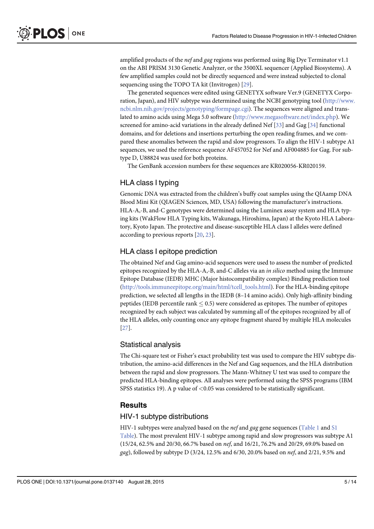amplified products of the *nef* and gag regions was performed using Big Dye Terminator v1.1 on the ABI PRISM 3130 Genetic Analyzer, or the 3500XL sequencer (Applied Biosystems). A few amplified samples could not be directly sequenced and were instead subjected to clonal sequencing using the TOPO TA kit (Invitrogen) [29].

The generated sequences were edited using GENETYX software Ver.9 (GENETYX Corporation, Japan), and HIV subtype was determined using the NCBI genotyping tool [\(http://www.](http://www.ncbi.nlm.nih.gov/projects/genotyping/formpage.cgi) [ncbi.nlm.nih.gov/projects/genotyping/formpage.cgi\)](http://www.ncbi.nlm.nih.gov/projects/genotyping/formpage.cgi). The sequences were aligned and translated to amino acids using Mega 5.0 software (<http://www.megasoftware.net/index.php>). We screened for amino-acid variations in the already defined Nef [33] and Gag [34] functional domains, and for deletions and insertions perturbing the open reading frames, and we compared these anomalies between the rapid and slow progressors. To align the HIV-1 subtype A1 sequences, we used the reference sequence AF457052 for Nef and AF004885 for Gag. For subtype D, U88824 was used for both proteins.

The GenBank accession numbers for these sequences are KR020056-KR020159.

### HLA class I typing

Genomic DNA was extracted from the children's buffy coat samples using the QIAamp DNA Blood Mini Kit (QIAGEN Sciences, MD, USA) following the manufacturer's instructions. HLA-A,-B, and-C genotypes were determined using the Luminex assay system and HLA typing kits (WakFlow HLA Typing kits, Wakunaga, Hiroshima, Japan) at the Kyoto HLA Laboratory, Kyoto Japan. The protective and disease-susceptible HLA class I alleles were defined according to previous reports [20, 23].

#### HLA class I epitope prediction

The obtained Nef and Gag amino-acid sequences were used to assess the number of predicted epitopes recognized by the HLA-A,-B, and-C alleles via an in silico method using the Immune Epitope Database (IEDB) MHC (Major histocompatibility complex) Binding prediction tool [\(http://tools.immuneepitope.org/main/html/tcell\\_tools.html](http://tools.immuneepitope.org/main/html/tcell_tools.html)). For the HLA-binding epitope prediction, we selected all lengths in the IEDB (8–14 amino acids). Only high-affinity binding peptides (IEDB percentile rank  $\leq$  0.5) were considered as epitopes. The number of epitopes recognized by each subject was calculated by summing all of the epitopes recognized by all of the HLA alleles, only counting once any epitope fragment shared by multiple HLA molecules [27].

#### Statistical analysis

The Chi-square test or Fisher's exact probability test was used to compare the HIV subtype distribution, the amino-acid differences in the Nef and Gag sequences, and the HLA distribution between the rapid and slow progressors. The Mann-Whitney U test was used to compare the predicted HLA-binding epitopes. All analyses were performed using the SPSS programs (IBM SPSS statistics 19). A p value of  $\langle 0.05 \rangle$  was considered to be statistically significant.

#### **Results**

#### HIV-1 subtype distributions

HIV-1 subtypes were analyzed based on the nef and gag gene sequences ( $Table 1$  and  $SI$ Table). The most prevalent HIV-1 subtype among rapid and slow progressors was subtype A1 (15/24, 62.5% and 20/30, 66.7% based on nef, and 16/21, 76.2% and 20/29, 69.0% based on gag), followed by subtype D (3/24, 12.5% and 6/30, 20.0% based on nef, and 2/21, 9.5% and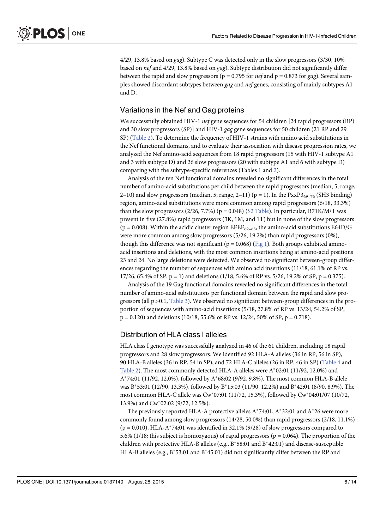4/29, 13.8% based on gag). Subtype C was detected only in the slow progressors (3/30, 10% based on nef and 4/29, 13.8% based on gag). Subtype distribution did not significantly differ between the rapid and slow progressors ( $p = 0.795$  for *nef* and  $p = 0.873$  for *gag*). Several samples showed discordant subtypes between gag and nef genes, consisting of mainly subtypes A1 and D.

#### Variations in the Nef and Gag proteins

We successfully obtained HIV-1 *nef* gene sequences for 54 children [24 rapid progressors (RP) and 30 slow progressors (SP)] and HIV-1 gag gene sequences for 50 children (21 RP and 29 SP) (Table 2). To determine the frequency of HIV-1 strains with amino acid substitutions in the Nef functional domains, and to evaluate their association with disease progression rates, we analyzed the Nef amino-acid sequences from 18 rapid progressors (15 with HIV-1 subtype A1 and 3 with subtype D) and 26 slow progressors (20 with subtype A1 and 6 with subtype D) comparing with the subtype-specific references (Tables 1 and 2).

Analysis of the ten Nef functional domains revealed no significant differences in the total number of amino-acid substitutions per child between the rapid progressors (median, 5; range, 2–10) and slow progressors (median, 5; range, 2–11) ( $p = 1$ ). In the PxxP3<sub>69–76</sub> (SH3 binding) region, amino-acid substitutions were more common among rapid progressors (6/18, 33.3%) than the slow progressors  $(2/26, 7.7%)$  (p = 0.048) (S2 Table). In particular, R71K/M/T was present in five (27.8%) rapid progressors (3K, 1M, and 1T) but in none of the slow progressors (p = 0.008). Within the acidic cluster region EEE $E_{62-65}$ , the amino-acid substitutions E64D/G were more common among slow progressors (5/26, 19.2%) than rapid progressors (0%), though this difference was not significant ( $p = 0.068$ ) ( $Fig 1$ ). Both groups exhibited amino-</u> acid insertions and deletions, with the most common insertions being at amino-acid positions 23 and 24. No large deletions were detected. We observed no significant between-group differences regarding the number of sequences with amino acid insertions (11/18, 61.1% of RP vs. 17/26, 65.4% of SP,  $p = 1$ ) and deletions (1/18, 5.6% of RP vs. 5/26, 19.2% of SP,  $p = 0.375$ ).

Analysis of the 19 Gag functional domains revealed no significant differences in the total number of amino-acid substitutions per functional domain between the rapid and slow progressors (all  $p>0.1$ , Table 3). We observed no significant between-group differences in the proportion of sequences with amino-acid insertions (5/18, 27.8% of RP vs. 13/24, 54.2% of SP,  $p = 0.120$ ) and deletions (10/18, 55.6% of RP vs. 12/24, 50% of SP,  $p = 0.718$ ).

#### Distribution of HLA class I alleles

HLA class I genotype was successfully analyzed in 46 of the 61 children, including 18 rapid progressors and 28 slow progressors. We identified 92 HLA-A alleles (36 in RP, 56 in SP), 90 HLA-B alleles (36 in RP, 54 in SP), and 72 HLA-C alleles (26 in RP, 46 in SP) (Table 4 and Table 2). The most commonly detected HLA-A alleles were  $A*02:01$  (11/92, 12.0%) and A\*74:01 (11/92, 12.0%), followed by A\*68:02 (9/92, 9.8%). The most common HLA-B allele was B\*53:01 (12/90, 13.3%), followed by B\*15:03 (11/90, 12.2%) and B\*42:01 (8/90, 8.9%). The most common HLA-C allele was Cw<sup>\*</sup>07:01 (11/72, 15.3%), followed by Cw<sup>\*</sup>04:01/07 (10/72, 13.9%) and Cw<sup>\*</sup>02:02 (9/72, 12.5%).

The previously reported HLA-A protective alleles  $A^*74:01$ ,  $A^*32:01$  and  $A^*26$  were more commonly found among slow progressors (14/28, 50.0%) than rapid progressors (2/18, 11.1%)  $(p = 0.010)$ . HLA-A\*74:01 was identified in 32.1% (9/28) of slow progressors compared to 5.6% (1/18; this subject is homozygous) of rapid progressors (p = 0.064). The proportion of the children with protective HLA-B alleles (e.g.,  $B^*58:01$  and  $B^*42:01$ ) and disease-susceptible HLA-B alleles (e.g.,  $B^*53:01$  and  $B^*45:01$ ) did not significantly differ between the RP and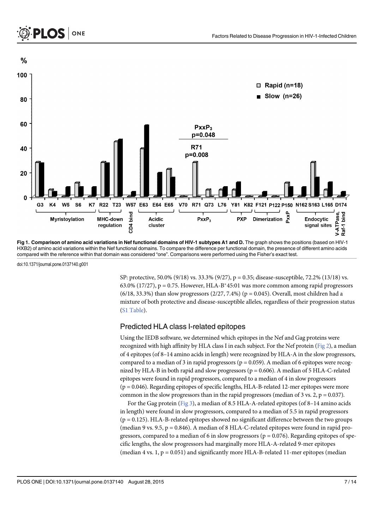

Fig 1. Comparison of amino acid variations in Nef functional domains of HIV-1 subtypes A1 and D. The graph shows the positions (based on HIV-1 HXB2) of amino acid variations within the Nef functional domains. To compare the difference per functional domain, the presence of different amino acids compared with the reference within that domain was considered "one". Comparisons were performed using the Fisher's exact test.

doi:10.1371/journal.pone.0137140.g001

SP: protective, 50.0% (9/18) vs. 33.3% (9/27), p = 0.35; disease-susceptible, 72.2% (13/18) vs.  $63.0\%$  (17/27), p = 0.75. However, HLA-B<sup>\*</sup>45:01 was more common among rapid progressors  $(6/18, 33.3%)$  than slow progressors  $(2/27, 7.4%)$  (p = 0.045). Overall, most children had a mixture of both protective and disease-susceptible alleles, regardless of their progression status (S1 Table).

#### Predicted HLA class I-related epitopes

Using the IEDB software, we determined which epitopes in the Nef and Gag proteins were recognized with high affinity by HLA class I in each subject. For the Nef protein ( $Fig 2$ ), a median of 4 epitopes (of 8–14 amino acids in length) were recognized by HLA-A in the slow progressors, compared to a median of 3 in rapid progressors ( $p = 0.059$ ). A median of 6 epitopes were recognized by HLA-B in both rapid and slow progressors ( $p = 0.606$ ). A median of 5 HLA-C-related epitopes were found in rapid progressors, compared to a median of 4 in slow progressors (p = 0.046). Regarding epitopes of specific lengths, HLA-B-related 12-mer epitopes were more common in the slow progressors than in the rapid progressors (median of 3 vs. 2,  $p = 0.037$ ).

For the Gag protein (Fig 3), a median of 8.5 HLA-A-related epitopes (of 8–14 amino acids in length) were found in slow progressors, compared to a median of 5.5 in rapid progressors  $(p = 0.125)$ . HLA-B-related epitopes showed no significant difference between the two groups (median 9 vs. 9.5,  $p = 0.846$ ). A median of 8 HLA-C-related epitopes were found in rapid progressors, compared to a median of 6 in slow progressors ( $p = 0.076$ ). Regarding epitopes of specific lengths, the slow progressors had marginally more HLA-A-related 9-mer epitopes (median 4 vs.  $1, p = 0.051$ ) and significantly more HLA-B-related 11-mer epitopes (median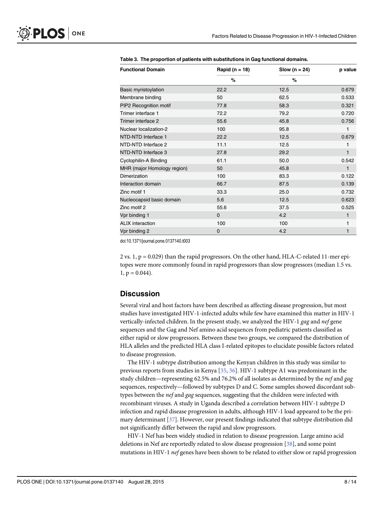| <b>Functional Domain</b>    | Rapid ( $n = 18$ ) | Slow ( $n = 24$ ) | p value      |
|-----------------------------|--------------------|-------------------|--------------|
|                             | %                  | $\%$              |              |
| Basic myristoylation        | 22.2               | 12.5              | 0.679        |
| Membrane binding            | 50                 | 62.5              | 0.533        |
| PIP2 Recognition motif      | 77.8               | 58.3              | 0.321        |
| Trimer interface 1          | 72.2               | 79.2              | 0.720        |
| Trimer interface 2          | 55.6               | 45.8              | 0.756        |
| Nuclear localization-2      | 100                | 95.8              | 1            |
| NTD-NTD Interface 1         | 22.2               | 12.5              | 0.679        |
| NTD-NTD Interface 2         | 11.1               | 12.5              | 1            |
| NTD-NTD Interface 3         | 27.8               | 29.2              | 1            |
| Cyclophilin-A Binding       | 61.1               | 50.0              | 0.542        |
| MHR (major Homology region) | 50                 | 45.8              | 1            |
| Dimerization                | 100                | 83.3              | 0.122        |
| Interaction domain          | 66.7               | 87.5              | 0.139        |
| Zinc motif 1                | 33.3               | 25.0              | 0.732        |
| Nucleocapsid basic domain   | 5.6                | 12.5              | 0.623        |
| Zinc motif 2                | 55.6               | 37.5              | 0.525        |
| Vpr binding 1               | $\Omega$           | 4.2               | $\mathbf{1}$ |
| <b>ALIX</b> interaction     | 100                | 100               | 1            |
| Vpr binding 2               | 0                  | 4.2               | 1            |

Table 3. The proportion of patients with substitutions in Gag functional domains.

doi:10.1371/journal.pone.0137140.t003

2 vs.  $1$ ,  $p = 0.029$ ) than the rapid progressors. On the other hand, HLA-C-related 11-mer epitopes were more commonly found in rapid progressors than slow progressors (median 1.5 vs.  $1, p = 0.044$ ).

#### **Discussion**

Several viral and host factors have been described as affecting disease progression, but most studies have investigated HIV-1-infected adults while few have examined this matter in HIV-1 vertically-infected children. In the present study, we analyzed the HIV-1 gag and nef gene sequences and the Gag and Nef amino acid sequences from pediatric patients classified as either rapid or slow progressors. Between these two groups, we compared the distribution of HLA alleles and the predicted HLA class I-related epitopes to elucidate possible factors related to disease progression.

The HIV-1 subtype distribution among the Kenyan children in this study was similar to previous reports from studies in Kenya [35, 36]. HIV-1 subtype A1 was predominant in the study children—representing 62.5% and 76.2% of all isolates as determined by the *nef* and gag sequences, respectively—followed by subtypes D and C. Some samples showed discordant subtypes between the *nef* and gag sequences, suggesting that the children were infected with recombinant viruses. A study in Uganda described a correlation between HIV-1 subtype D infection and rapid disease progression in adults, although HIV-1 load appeared to be the primary determinant [37]. However, our present findings indicated that subtype distribution did not significantly differ between the rapid and slow progressors.

HIV-1 Nef has been widely studied in relation to disease progression. Large amino acid deletions in Nef are reportedly related to slow disease progression [38], and some point mutations in HIV-1 nef genes have been shown to be related to either slow or rapid progression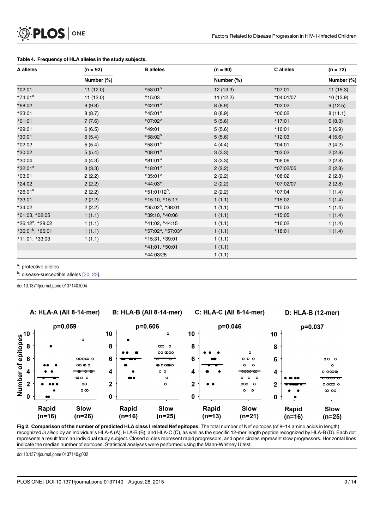

| A alleles                    | $(n = 92)$ | <b>B</b> alleles                          | $(n = 90)$ | C alleles | $(n = 72)$ |
|------------------------------|------------|-------------------------------------------|------------|-----------|------------|
|                              | Number (%) |                                           | Number (%) |           | Number (%) |
| *02:01                       | 11 (12.0)  | $*53:01^{b}$                              | 12 (13.3)  | *07:01    | 11 (15.3)  |
| $*74:01^a$                   | 11(12.0)   | *15:03                                    | 11(12.2)   | *04:01/07 | 10(13.9)   |
| *68:02                       | 9(9.8)     | $*42:01^a$                                | 8(8.9)     | *02:02    | 9(12.5)    |
| *23:01                       | 8(8.7)     | $*45:01^{b}$                              | 8(8.9)     | *06:02    | 8(11.1)    |
| $*01:01$                     | 7(7.6)     | *07:02 <sup>b</sup>                       | 5(5.6)     | *17:01    | 6(8.3)     |
| *29:01                       | 6(6.5)     | *49:01                                    | 5(5.6)     | *16:01    | 5(6.9)     |
| *30:01                       | 5(5.4)     | $*58:02^{b}$                              | 5(5.6)     | *12:03    | 4(5.6)     |
| *02:02                       | 5(5.4)     | $*58:01^a$                                | 4(4.4)     | $*04:01$  | 3(4.2)     |
| *30:02                       | 5(5.4)     | $*08:01^{b}$                              | 3(3.3)     | *03:02    | 2(2.8)     |
| *30:04                       | 4(4.3)     | $*81:01^a$                                | 3(3.3)     | *06:06    | 2(2.8)     |
| $*32:01^a$                   | 3(3.3)     | $*18:01^{b}$                              | 2(2.2)     | *07:02/05 | 2(2.8)     |
| $*03:01$                     | 2(2.2)     | $*35:01^b$                                | 2(2.2)     | *08:02    | 2(2.8)     |
| *24:02                       | 2(2.2)     | $*44:03^a$                                | 2(2.2)     | *07:02/07 | 2(2.8)     |
| *26:01 <sup>a</sup>          | 2(2.2)     | *51:01/12 <sup>b</sup> ,                  | 2(2.2)     | *07:04    | 1(1.4)     |
| $*33:01$                     | 2(2.2)     | *15:10, *15:17                            | 1(1.1)     | *15:02    | 1(1.4)     |
| *34:02                       | 2(2.2)     | *35:02 <sup>b</sup> , *38:01              | 1(1.1)     | *15:03    | 1(1.4)     |
| *01:03, *02:05               | 1(1.1)     | *39:10, *40:06                            | 1(1.1)     | *15:05    | 1(1.4)     |
| *26:12 <sup>a</sup> , *29:02 | 1(1.1)     | *41:02, *44:15                            | 1(1.1)     | *16:02    | 1(1.4)     |
| $*36:01^b, *66:01$           | 1(1.1)     | *57:02 <sup>a</sup> , *57:03 <sup>b</sup> | 1(1.1)     | *18:01    | 1(1.4)     |
| *11:01, *33:03               | 1(1.1)     | *15:31, *39:01                            | 1(1.1)     |           |            |
|                              |            | *41:01, *50:01                            | 1(1.1)     |           |            |
|                              |            | *44:03/26                                 | 1(1.1)     |           |            |

#### Table 4. Frequency of HLA alleles in the study subjects.

<sup>a</sup>: protective alleles

<sup>b</sup>: disease-susceptible alleles [20, 23].

doi:10.1371/journal.pone.0137140.t004

A: HLA-A (All 8-14-mer) **B: HLA-B (All 8-14-mer) C: HLA-C (All 8-14-mer)** D: HLA-B (12-mer)  $p=0.059$ p=0.606 p=0.046 p=0.037  $10$  $\circ$  $10$ 10  $\circ$ 8  $\infty$  o 8 8 00 000  $\mathsf{o}$ 6 6 popm p  $0.0.0$ 6  $000$ 00 **@** 0 **®** ഠ ഠ ൈ ഠ o  $\circ$  $\circ$ 4  $\circ$   $\circ$ 4  $0000$ 4 oo o  $\circ$  $\circ$ o  $\circ$  $\overline{2}$  $\overline{2}$  $\circ$  $\circ$  $000$  $\circ$  $000000$  $\overline{2}$  $\alpha$  $\Omega$  $\circ$  $m$  no  $\mathbf 0$ O  $\mathbf 0$ Rapid Rapid Slow Rapid **Slow Slow** Rapid Slow  $(n=16)$  $(n=26)$  $(n=16)$  $(n=25)$  $(n=13)$  $(n=21)$  $(n=16)$  $(n=25)$ 

Fig 2. Comparison of the number of predicted HLA class I related Nef epitopes. The total number of Nef epitopes (of 8-14 amino acids in length) recognized in silico by an individual's HLA-A (A), HLA-B (B), and HLA-C (C), as well as the specific 12-mer length peptide recognized by HLA-B (D). Each dot represents a result from an individual study subject. Closed circles represent rapid progressors, and open circles represent slow progressors. Horizontal lines indicate the median number of epitopes. Statistical analyses were performed using the Mann-Whitney U test.

doi:10.1371/journal.pone.0137140.g002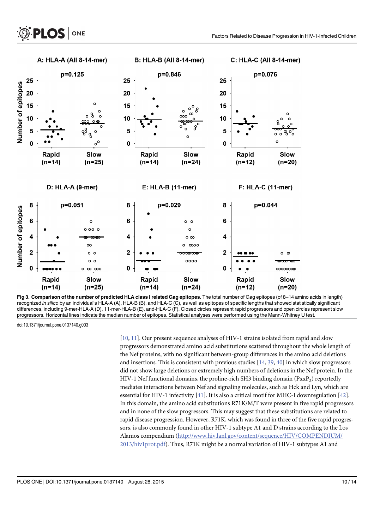

Fig 3. Comparison of the number of predicted HLA class I related Gag epitopes. The total number of Gag epitopes (of 8-14 amino acids in length) recognized in silico by an individual's HLA-A (A), HLA-B (B), and HLA-C (C), as well as epitopes of specific lengths that showed statistically significant differences, including 9-mer-HLA-A (D), 11-mer-HLA-B (E), and-HLA-C (F). Closed circles represent rapid progressors and open circles represent slow progressors. Horizontal lines indicate the median number of epitopes. Statistical analyses were performed using the Mann-Whitney U test.

doi:10.1371/journal.pone.0137140.g003

[10, 11]. Our present sequence analyses of HIV-1 strains isolated from rapid and slow progressors demonstrated amino acid substitutions scattered throughout the whole length of the Nef proteins, with no significant between-group differences in the amino acid deletions and insertions. This is consistent with previous studies  $[14, 39, 40]$  in which slow progressors did not show large deletions or extremely high numbers of deletions in the Nef protein. In the HIV-1 Nef functional domains, the proline-rich SH3 binding domain  $(PxxP_3)$  reportedly mediates interactions between Nef and signaling molecules, such as Hck and Lyn, which are essential for HIV-1 infectivity [41]. It is also a critical motif for MHC-I downregulation [42]. In this domain, the amino acid substitutions R71K/M/T were present in five rapid progressors and in none of the slow progressors. This may suggest that these substitutions are related to rapid disease progression. However, R71K, which was found in three of the five rapid progressors, is also commonly found in other HIV-1 subtype A1 and D strains according to the Los Alamos compendium ([http://www.hiv.lanl.gov/content/sequence/HIV/COMPENDIUM/](http://www.hiv.lanl.gov/content/sequence/HIV/COMPENDIUM/2013/hiv1prot.pdf) [2013/hiv1prot.pdf](http://www.hiv.lanl.gov/content/sequence/HIV/COMPENDIUM/2013/hiv1prot.pdf)). Thus, R71K might be a normal variation of HIV-1 subtypes A1 and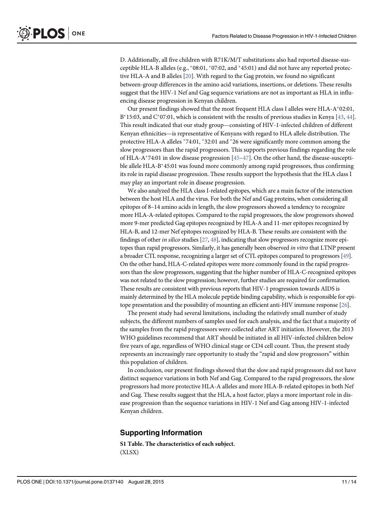D. Additionally, all five children with R71K/M/T substitutions also had reported disease-susceptible HLA-B alleles (e.g.,  $*08:01$ ,  $*07:02$ , and  $*45:01$ ) and did not have any reported protective HLA-A and B alleles [20]. With regard to the Gag protein, we found no significant between-group differences in the amino acid variations, insertions, or deletions. These results suggest that the HIV-1 Nef and Gag sequence variations are not as important as HLA in influencing disease progression in Kenyan children.

Our present findings showed that the most frequent HLA class I alleles were HLA- $A^*02:01$ , B<sup>\*</sup>15:03, and C<sup>\*</sup>07:01, which is consistent with the results of previous studies in Kenya [ $43, 44$ ]. This result indicated that our study group—consisting of HIV-1-infected children of different Kenyan ethnicities—is representative of Kenyans with regard to HLA allele distribution. The protective HLA-A alleles  $*74:01$ ,  $*32:01$  and  $*26$  were significantly more common among the slow progressors than the rapid progressors. This supports previous findings regarding the role of HLA-A\*74:01 in slow disease progression  $[45-47]$ . On the other hand, the disease-susceptible allele HLA-B<sup>\*</sup>45:01 was found more commonly among rapid progressors, thus confirming its role in rapid disease progression. These results support the hypothesis that the HLA class I may play an important role in disease progression.

We also analyzed the HLA class I-related epitopes, which are a main factor of the interaction between the host HLA and the virus. For both the Nef and Gag proteins, when considering all epitopes of 8–14 amino acids in length, the slow progressors showed a tendency to recognize more HLA-A-related epitopes. Compared to the rapid progressors, the slow progressors showed more 9-mer predicted Gag epitopes recognized by HLA-A and 11-mer epitopes recognized by HLA-B, and 12-mer Nef epitopes recognized by HLA-B. These results are consistent with the findings of other *in silico* studies  $[27, 48]$ , indicating that slow progressors recognize more epitopes than rapid progressors. Similarly, it has generally been observed in vitro that LTNP present a broader CTL response, recognizing a larger set of CTL epitopes compared to progressors [49]. On the other hand, HLA-C-related epitopes were more commonly found in the rapid progressors than the slow progressors, suggesting that the higher number of HLA-C-recognized epitopes was not related to the slow progression; however, further studies are required for confirmation. These results are consistent with previous reports that HIV-1 progression towards AIDS is mainly determined by the HLA molecule peptide binding capability, which is responsible for epitope presentation and the possibility of mounting an efficient anti-HIV immune response [26].

The present study had several limitations, including the relatively small number of study subjects, the different numbers of samples used for each analysis, and the fact that a majority of the samples from the rapid progressors were collected after ART initiation. However, the 2013 WHO guidelines recommend that ART should be initiated in all HIV-infected children below five years of age, regardless of WHO clinical stage or CD4 cell count. Thus, the present study represents an increasingly rare opportunity to study the "rapid and slow progressors" within this population of children.

In conclusion, our present findings showed that the slow and rapid progressors did not have distinct sequence variations in both Nef and Gag. Compared to the rapid progressors, the slow progressors had more protective HLA-A alleles and more HLA-B-related epitopes in both Nef and Gag. These results suggest that the HLA, a host factor, plays a more important role in disease progression than the sequence variations in HIV-1 Nef and Gag among HIV-1-infected Kenyan children.

#### Supporting Information

[S1 Table](http://www.plosone.org/article/fetchSingleRepresentation.action?uri=info:doi/10.1371/journal.pone.0137140.s001). The characteristics of each subject. (XLSX)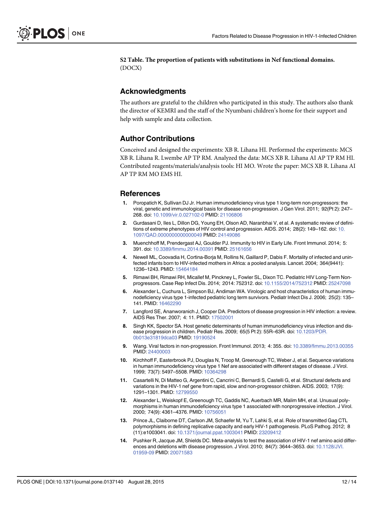[S2 Table](http://www.plosone.org/article/fetchSingleRepresentation.action?uri=info:doi/10.1371/journal.pone.0137140.s002). The proportion of patients with substitutions in Nef functional domains. (DOCX)

#### Acknowledgments

The authors are grateful to the children who participated in this study. The authors also thank the director of KEMRI and the staff of the Nyumbani children's home for their support and help with sample and data collection.

#### Author Contributions

Conceived and designed the experiments: XB R. Lihana HI. Performed the experiments: MCS XB R. Lihana R. Lwembe AP TP RM. Analyzed the data: MCS XB R. Lihana AI AP TP RM HI. Contributed reagents/materials/analysis tools: HI MO. Wrote the paper: MCS XB R. Lihana AI AP TP RM MO EMS HI.

#### References

- Poropatich K, Sullivan DJ Jr. Human immunodeficiency virus type 1 long-term non-progressors: the viral, genetic and immunological basis for disease non-progression. J Gen Virol. 2011; 92(Pt 2): 247– 268. doi: [10.1099/vir.0.027102-0](http://dx.doi.org/10.1099/vir.0.027102-0) PMID: [21106806](http://www.ncbi.nlm.nih.gov/pubmed/21106806)
- 2. Gurdasani D, Iles L, Dillon DG, Young EH, Olson AD, Naranbhai V, et al. A systematic review of defini-tions of extreme phenotypes of HIV control and progression. AIDS. 2014; 28(2): 149-162. doi: [10.](http://dx.doi.org/10.1097/QAD.0000000000000049) [1097/QAD.0000000000000049](http://dx.doi.org/10.1097/QAD.0000000000000049) PMID: [24149086](http://www.ncbi.nlm.nih.gov/pubmed/24149086)
- 3. Muenchhoff M, Prendergast AJ, Goulder PJ. Immunity to HIV in Early Life. Front Immunol. 2014; 5: 391. doi: [10.3389/fimmu.2014.00391](http://dx.doi.org/10.3389/fimmu.2014.00391) PMID: [25161656](http://www.ncbi.nlm.nih.gov/pubmed/25161656)
- 4. Newell ML, Coovadia H, Cortina-Borja M, Rollins N, Gaillard P, Dabis F. Mortality of infected and uninfected infants born to HIV-infected mothers in Africa: a pooled analysis. Lancet. 2004; 364(9441): 1236–1243. PMID: [15464184](http://www.ncbi.nlm.nih.gov/pubmed/15464184)
- 5. Rimawi BH, Rimawi RH, Micallef M, Pinckney L, Fowler SL, Dixon TC. Pediatric HIV Long-Term Nonprogressors. Case Rep Infect Dis. 2014; 2014: 752312. doi: [10.1155/2014/752312](http://dx.doi.org/10.1155/2014/752312) PMID: [25247098](http://www.ncbi.nlm.nih.gov/pubmed/25247098)
- 6. Alexander L, Cuchura L, Simpson BJ, Andiman WA. Virologic and host characteristics of human immunodeficiency virus type 1-infected pediatric long term survivors. Pediatr Infect Dis J. 2006; 25(2): 135– 141. PMID: [16462290](http://www.ncbi.nlm.nih.gov/pubmed/16462290)
- 7. Langford SE, Ananworanich J, Cooper DA. Predictors of disease progression in HIV infection: a review. AIDS Res Ther. 2007; 4: 11. PMID: [17502001](http://www.ncbi.nlm.nih.gov/pubmed/17502001)
- 8. Singh KK, Spector SA. Host genetic determinants of human immunodeficiency virus infection and disease progression in children. Pediatr Res. 2009; 65(5 Pt 2): 55R–63R. doi: [10.1203/PDR.](http://dx.doi.org/10.1203/PDR.0b013e31819dca03) [0b013e31819dca03](http://dx.doi.org/10.1203/PDR.0b013e31819dca03) PMID: [19190524](http://www.ncbi.nlm.nih.gov/pubmed/19190524)
- 9. Wang. Viral factors in non-progression. Front Immunol. 2013; 4: 355. doi: [10.3389/fimmu.2013.00355](http://dx.doi.org/10.3389/fimmu.2013.00355) PMID: [24400003](http://www.ncbi.nlm.nih.gov/pubmed/24400003)
- 10. Kirchhoff F, Easterbrook PJ, Douglas N, Troop M, Greenough TC, Weber J, et al. Sequence variations in human immunodeficiency virus type 1 Nef are associated with different stages of disease. J Virol. 1999; 73(7): 5497–5508. PMID: [10364298](http://www.ncbi.nlm.nih.gov/pubmed/10364298)
- 11. Casartelli N, Di Matteo G, Argentini C, Cancrini C, Bernardi S, Castelli G, et al. Structural defects and variations in the HIV-1 nef gene from rapid, slow and non-progressor children. AIDS. 2003; 17(9): 1291–1301. PMID: [12799550](http://www.ncbi.nlm.nih.gov/pubmed/12799550)
- 12. Alexander L, Weiskopf E, Greenough TC, Gaddis NC, Auerbach MR, Malim MH, et al. Unusual polymorphisms in human immunodeficiency virus type 1 associated with nonprogressive infection. J Virol. 2000; 74(9): 4361–4376. PMID: [10756051](http://www.ncbi.nlm.nih.gov/pubmed/10756051)
- 13. Prince JL, Claiborne DT, Carlson JM, Schaefer M, Yu T, Lahki S, et al. Role of transmitted Gag CTL polymorphisms in defining replicative capacity and early HIV-1 pathogenesis. PLoS Pathog. 2012; 8 (11):e1003041. doi: [10.1371/journal.ppat.1003041](http://dx.doi.org/10.1371/journal.ppat.1003041) PMID: [23209412](http://www.ncbi.nlm.nih.gov/pubmed/23209412)
- 14. Pushker R, Jacque JM, Shields DC. Meta-analysis to test the association of HIV-1 nef amino acid differences and deletions with disease progression. J Virol. 2010; 84(7): 3644–3653. doi: [10.1128/JVI.](http://dx.doi.org/10.1128/JVI.01959-09) [01959-09](http://dx.doi.org/10.1128/JVI.01959-09) PMID: [20071583](http://www.ncbi.nlm.nih.gov/pubmed/20071583)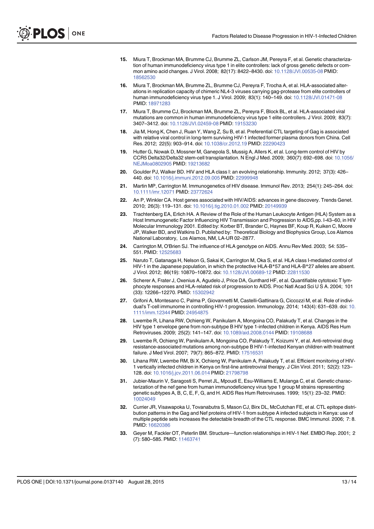- 15. Miura T, Brockman MA, Brumme CJ, Brumme ZL, Carlson JM, Pereyra F, et al. Genetic characterization of human immunodeficiency virus type 1 in elite controllers: lack of gross genetic defects or common amino acid changes. J Virol. 2008; 82(17): 8422–8430. doi: [10.1128/JVI.00535-08](http://dx.doi.org/10.1128/JVI.00535-08) PMID: [18562530](http://www.ncbi.nlm.nih.gov/pubmed/18562530)
- 16. Miura T, Brockman MA, Brumme ZL, Brumme CJ, Pereyra F, Trocha A, et al. HLA-associated alterations in replication capacity of chimeric NL4-3 viruses carrying gag-protease from elite controllers of human immunodeficiency virus type 1. J Virol. 2009; 83(1): 140–149. doi: [10.1128/JVI.01471-08](http://dx.doi.org/10.1128/JVI.01471-08) PMID: [18971283](http://www.ncbi.nlm.nih.gov/pubmed/18971283)
- 17. Miura T, Brumme CJ, Brockman MA, Brumme ZL, Pereyra F, Block BL, et al. HLA-associated viral mutations are common in human immunodeficiency virus type 1 elite controllers. J Virol. 2009; 83(7): 3407–3412. doi: [10.1128/JVI.02459-08](http://dx.doi.org/10.1128/JVI.02459-08) PMID: [19153230](http://www.ncbi.nlm.nih.gov/pubmed/19153230)
- 18. Jia M, Hong K, Chen J, Ruan Y, Wang Z, Su B, et al. Preferential CTL targeting of Gag is associated with relative viral control in long-term surviving HIV-1 infected former plasma donors from China. Cell Res. 2012; 22(5): 903–914. doi: [10.1038/cr.2012.19](http://dx.doi.org/10.1038/cr.2012.19) PMID: [22290423](http://www.ncbi.nlm.nih.gov/pubmed/22290423)
- 19. Hutter G, Nowak D, Mossner M, Ganepola S, Mussig A, Allers K, et al. Long-term control of HIV by CCR5 Delta32/Delta32 stem-cell transplantation. N Engl J Med. 2009; 360(7): 692–698. doi: [10.1056/](http://dx.doi.org/10.1056/NEJMoa0802905) [NEJMoa0802905](http://dx.doi.org/10.1056/NEJMoa0802905) PMID: [19213682](http://www.ncbi.nlm.nih.gov/pubmed/19213682)
- 20. Goulder PJ, Walker BD. HIV and HLA class I: an evolving relationship. Immunity. 2012; 37(3): 426– 440. doi: [10.1016/j.immuni.2012.09.005](http://dx.doi.org/10.1016/j.immuni.2012.09.005) PMID: [22999948](http://www.ncbi.nlm.nih.gov/pubmed/22999948)
- 21. Martin MP, Carrington M. Immunogenetics of HIV disease. Immunol Rev. 2013; 254(1): 245–264. doi: [10.1111/imr.12071](http://dx.doi.org/10.1111/imr.12071) PMID: [23772624](http://www.ncbi.nlm.nih.gov/pubmed/23772624)
- 22. An P. Winkler CA. Host genes associated with HIV/AIDS: advances in gene discovery. Trends Genet. 2010; 26(3): 119–131. doi: [10.1016/j.tig.2010.01.002](http://dx.doi.org/10.1016/j.tig.2010.01.002) PMID: [20149939](http://www.ncbi.nlm.nih.gov/pubmed/20149939)
- 23. Trachtenberg EA, Erlich HA. A Review of the Role of the Human Leukocyte Antigen (HLA) System as a Host Immunogenetic Factor Influencing HIV Transmission and Progression to AIDS,pp. I-43–60, in HIV Molecular Immunology 2001. Edited by: Korber BT, Brander C, Haynes BF, Koup R, Kuiken C, Moore JP, Walker BD, and Watkins D. Published by: Theoretical Biology and Biophysics Group, Los Alamos National Laboratory, Los Alamos, NM, LA-UR 02–2877.
- 24. Carrington M, O'Brien SJ. The influence of HLA genotype on AIDS. Annu Rev Med. 2003; 54: 535– 551. PMID: [12525683](http://www.ncbi.nlm.nih.gov/pubmed/12525683)
- 25. Naruto T, Gatanaga H, Nelson G, Sakai K, Carrington M, Oka S, et al. HLA class I-mediated control of HIV-1 in the Japanese population, in which the protective HLA-B\*57 and HLA-B\*27 alleles are absent. J Virol. 2012; 86(19): 10870–10872. doi: [10.1128/JVI.00689-12](http://dx.doi.org/10.1128/JVI.00689-12) PMID: [22811530](http://www.ncbi.nlm.nih.gov/pubmed/22811530)
- 26. Scherer A, Frater J, Oxenius A, Agudelo J, Price DA, Gunthard HF, et al. Quantifiable cytotoxic T lymphocyte responses and HLA-related risk of progression to AIDS. Proc Natl Acad Sci U S A. 2004; 101 (33): 12266-12270. PMID: [15302942](http://www.ncbi.nlm.nih.gov/pubmed/15302942)
- 27. Grifoni A, Montesano C, Palma P, Giovannetti M, Castelli-Gattinara G, Ciccozzi M, et al. Role of individual's T-cell immunome in controlling HIV-1 progression. Immunology. 2014; 143(4): 631–639. doi: [10.](http://dx.doi.org/10.1111/imm.12344) [1111/imm.12344](http://dx.doi.org/10.1111/imm.12344) PMID: [24954875](http://www.ncbi.nlm.nih.gov/pubmed/24954875)
- 28. Lwembe R, Lihana RW, Ochieng W, Panikulam A, Mongoina CO, Palakudy T, et al. Changes in the HIV type 1 envelope gene from non-subtype B HIV type 1-infected children in Kenya. AIDS Res Hum Retroviruses. 2009; 25(2): 141–147. doi: [10.1089/aid.2008.0144](http://dx.doi.org/10.1089/aid.2008.0144) PMID: [19108688](http://www.ncbi.nlm.nih.gov/pubmed/19108688)
- 29. Lwembe R, Ochieng W, Panikulam A, Mongoina CO, Palakudy T, Koizumi Y, et al. Anti-retroviral drug resistance-associated mutations among non-subtype B HIV-1-infected Kenyan children with treatment failure. J Med Virol. 2007; 79(7): 865–872. PMID: [17516531](http://www.ncbi.nlm.nih.gov/pubmed/17516531)
- 30. Lihana RW, Lwembe RM, Bi X, Ochieng W, Panikulam A, Palakudy T, et al. Efficient monitoring of HIV-1 vertically infected children in Kenya on first-line antiretroviral therapy. J Clin Virol. 2011; 52(2): 123– 128. doi: [10.1016/j.jcv.2011.06.014](http://dx.doi.org/10.1016/j.jcv.2011.06.014) PMID: [21798798](http://www.ncbi.nlm.nih.gov/pubmed/21798798)
- 31. Jubier-Maurin V, Saragosti S, Perret JL, Mpoudi E, Esu-Williams E, Mulanga C, et al. Genetic characterization of the nef gene from human immunodeficiency virus type 1 group M strains representing genetic subtypes A, B, C, E, F, G, and H. AIDS Res Hum Retroviruses. 1999; 15(1): 23–32. PMID: [10024049](http://www.ncbi.nlm.nih.gov/pubmed/10024049)
- 32. Currier JR, Visawapoka U, Tovanabutra S, Mason CJ, Birx DL, McCutchan FE, et al. CTL epitope distribution patterns in the Gag and Nef proteins of HIV-1 from subtype A infected subjects in Kenya: use of multiple peptide sets increases the detectable breadth of the CTL response. BMC Immunol. 2006; 7: 8. PMID: [16620386](http://www.ncbi.nlm.nih.gov/pubmed/16620386)
- 33. Geyer M, Fackler OT, Peterlin BM. Structure—function relationships in HIV-1 Nef. EMBO Rep. 2001; 2 (7): 580–585. PMID: [11463741](http://www.ncbi.nlm.nih.gov/pubmed/11463741)